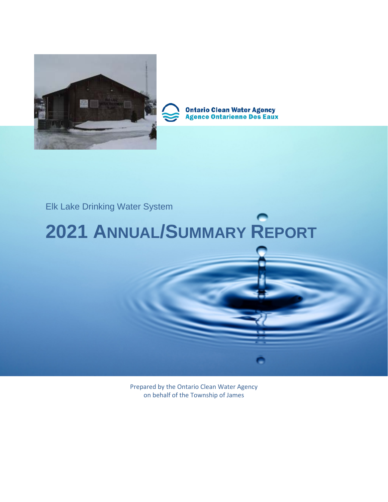

**Ontario Clean Water Agency<br>Agence Ontarienne Des Eaux** 

### Elk Lake Drinking Water System

# **2021 ANNUAL/SUMMARY REPORT**

Prepared by the Ontario Clean Water Agency on behalf of the Township of James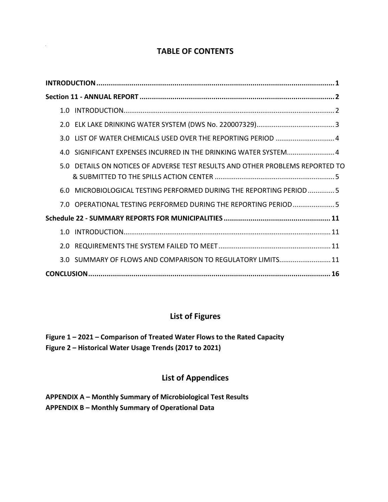#### **TABLE OF CONTENTS**

| SIGNIFICANT EXPENSES INCURRED IN THE DRINKING WATER SYSTEM 4<br>4.O           |
|-------------------------------------------------------------------------------|
| 5.0 DETAILS ON NOTICES OF ADVERSE TEST RESULTS AND OTHER PROBLEMS REPORTED TO |
| MICROBIOLOGICAL TESTING PERFORMED DURING THE REPORTING PERIOD 5<br>6.0        |
| 7.0 OPERATIONAL TESTING PERFORMED DURING THE REPORTING PERIOD5                |
|                                                                               |
|                                                                               |
| 2.0                                                                           |
| 3.0 SUMMARY OF FLOWS AND COMPARISON TO REGULATORY LIMITS 11                   |
|                                                                               |

#### **List of Figures**

**Figure 1 – 2021 – Comparison of Treated Water Flows to the Rated Capacity Figure 2 – Historical Water Usage Trends (2017 to 2021)**

#### **List of Appendices**

**APPENDIX A – Monthly Summary of Microbiological Test Results APPENDIX B – Monthly Summary of Operational Data**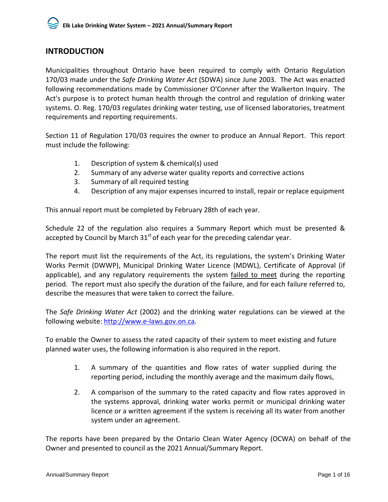#### <span id="page-2-0"></span>**INTRODUCTION**

Municipalities throughout Ontario have been required to comply with Ontario Regulation 170/03 made under the *Safe Drinking Water Act* (SDWA) since June 2003. The Act was enacted following recommendations made by Commissioner O'Conner after the Walkerton Inquiry. The Act's purpose is to protect human health through the control and regulation of drinking water systems. O. Reg. 170/03 regulates drinking water testing, use of licensed laboratories, treatment requirements and reporting requirements.

Section 11 of Regulation 170/03 requires the owner to produce an Annual Report. This report must include the following:

- 1. Description of system & chemical(s) used
- 2. Summary of any adverse water quality reports and corrective actions
- 3. Summary of all required testing
- 4. Description of any major expenses incurred to install, repair or replace equipment

This annual report must be completed by February 28th of each year.

Schedule 22 of the regulation also requires a Summary Report which must be presented & accepted by Council by March  $31<sup>st</sup>$  of each year for the preceding calendar year.

The report must list the requirements of the Act, its regulations, the system's Drinking Water Works Permit (DWWP), Municipal Drinking Water Licence (MDWL), Certificate of Approval (if applicable), and any regulatory requirements the system failed to meet during the reporting period. The report must also specify the duration of the failure, and for each failure referred to, describe the measures that were taken to correct the failure.

The *Safe Drinking Water Act* (2002) and the drinking water regulations can be viewed at the following website: [http://www.e-laws.gov.on.ca.](http://www.e-laws.gov.on.ca/)

To enable the Owner to assess the rated capacity of their system to meet existing and future planned water uses, the following information is also required in the report.

- 1. A summary of the quantities and flow rates of water supplied during the reporting period, including the monthly average and the maximum daily flows,
- 2. A comparison of the summary to the rated capacity and flow rates approved in the systems approval, drinking water works permit or municipal drinking water licence or a written agreement if the system is receiving all its water from another system under an agreement.

The reports have been prepared by the Ontario Clean Water Agency (OCWA) on behalf of the Owner and presented to council as the 2021 Annual/Summary Report.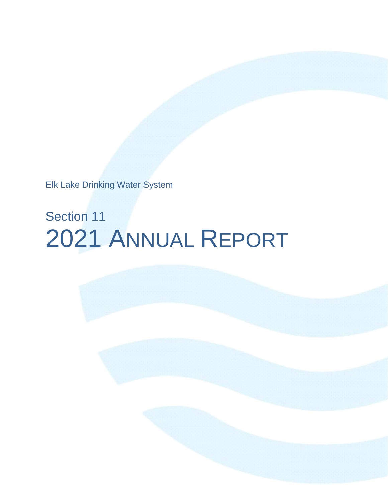Elk Lake Drinking Water System

# Section 11 2021 ANNUAL REPORT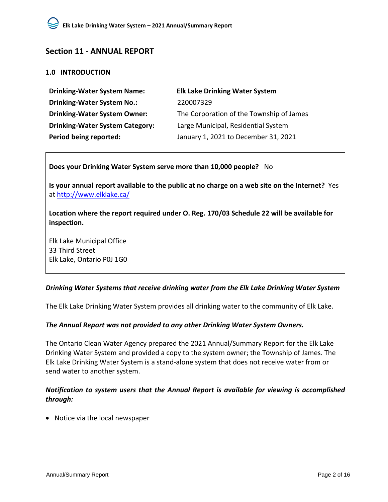#### <span id="page-4-0"></span>**Section 11 - ANNUAL REPORT**

#### <span id="page-4-1"></span>**1.0 INTRODUCTION**

| <b>Elk Lake Drinking Water System</b>    |
|------------------------------------------|
| 220007329                                |
| The Corporation of the Township of James |
| Large Municipal, Residential System      |
| January 1, 2021 to December 31, 2021     |
|                                          |

**Does your Drinking Water System serve more than 10,000 people?** No

**Is your annual report available to the public at no charge on a web site on the Internet?** Yes at<http://www.elklake.ca/>

**Location where the report required under O. Reg. 170/03 Schedule 22 will be available for inspection.** 

Elk Lake Municipal Office 33 Third Street Elk Lake, Ontario P0J 1G0

#### *Drinking Water Systems that receive drinking water from the Elk Lake Drinking Water System*

The Elk Lake Drinking Water System provides all drinking water to the community of Elk Lake.

#### *The Annual Report was not provided to any other Drinking Water System Owners.*

The Ontario Clean Water Agency prepared the 2021 Annual/Summary Report for the Elk Lake Drinking Water System and provided a copy to the system owner; the Township of James. The Elk Lake Drinking Water System is a stand-alone system that does not receive water from or send water to another system.

#### *Notification to system users that the Annual Report is available for viewing is accomplished through:*

• Notice via the local newspaper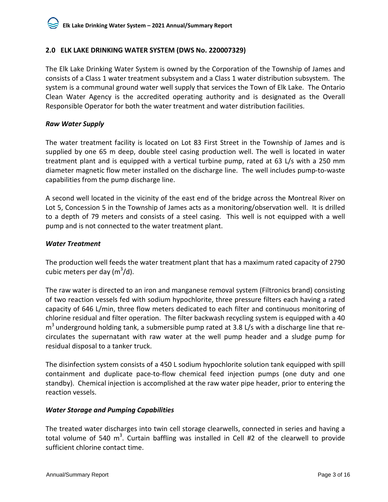#### <span id="page-5-0"></span>**2.0 ELK LAKE DRINKING WATER SYSTEM (DWS No. 220007329)**

The Elk Lake Drinking Water System is owned by the Corporation of the Township of James and consists of a Class 1 water treatment subsystem and a Class 1 water distribution subsystem. The system is a communal ground water well supply that services the Town of Elk Lake. The Ontario Clean Water Agency is the accredited operating authority and is designated as the Overall Responsible Operator for both the water treatment and water distribution facilities.

#### *Raw Water Supply*

The water treatment facility is located on Lot 83 First Street in the Township of James and is supplied by one 65 m deep, double steel casing production well. The well is located in water treatment plant and is equipped with a vertical turbine pump, rated at 63 L/s with a 250 mm diameter magnetic flow meter installed on the discharge line. The well includes pump-to-waste capabilities from the pump discharge line.

A second well located in the vicinity of the east end of the bridge across the Montreal River on Lot 5, Concession 5 in the Township of James acts as a monitoring/observation well. It is drilled to a depth of 79 meters and consists of a steel casing. This well is not equipped with a well pump and is not connected to the water treatment plant.

#### *Water Treatment*

The production well feeds the water treatment plant that has a maximum rated capacity of 2790 cubic meters per day (m $3/$ d).

The raw water is directed to an iron and manganese removal system (Filtronics brand) consisting of two reaction vessels fed with sodium hypochlorite, three pressure filters each having a rated capacity of 646 L/min, three flow meters dedicated to each filter and continuous monitoring of chlorine residual and filter operation. The filter backwash recycling system is equipped with a 40  $m<sup>3</sup>$  underground holding tank, a submersible pump rated at 3.8 L/s with a discharge line that recirculates the supernatant with raw water at the well pump header and a sludge pump for residual disposal to a tanker truck.

The disinfection system consists of a 450 L sodium hypochlorite solution tank equipped with spill containment and duplicate pace-to-flow chemical feed injection pumps (one duty and one standby). Chemical injection is accomplished at the raw water pipe header, prior to entering the reaction vessels.

#### *Water Storage and Pumping Capabilities*

The treated water discharges into twin cell storage clearwells, connected in series and having a total volume of 540 m<sup>3</sup>. Curtain baffling was installed in Cell #2 of the clearwell to provide sufficient chlorine contact time.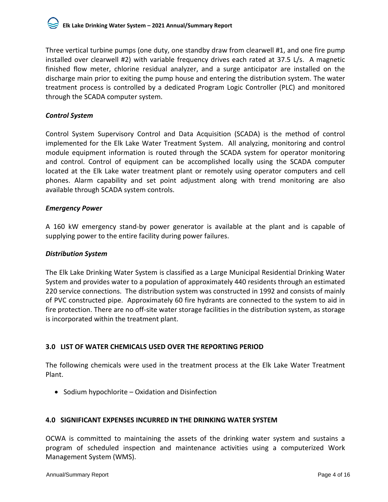Three vertical turbine pumps (one duty, one standby draw from clearwell #1, and one fire pump installed over clearwell #2) with variable frequency drives each rated at 37.5 L/s. A magnetic finished flow meter, chlorine residual analyzer, and a surge anticipator are installed on the discharge main prior to exiting the pump house and entering the distribution system. The water treatment process is controlled by a dedicated Program Logic Controller (PLC) and monitored through the SCADA computer system.

#### *Control System*

Control System Supervisory Control and Data Acquisition (SCADA) is the method of control implemented for the Elk Lake Water Treatment System. All analyzing, monitoring and control module equipment information is routed through the SCADA system for operator monitoring and control. Control of equipment can be accomplished locally using the SCADA computer located at the Elk Lake water treatment plant or remotely using operator computers and cell phones. Alarm capability and set point adjustment along with trend monitoring are also available through SCADA system controls.

#### *Emergency Power*

A 160 kW emergency stand-by power generator is available at the plant and is capable of supplying power to the entire facility during power failures.

#### *Distribution System*

The Elk Lake Drinking Water System is classified as a Large Municipal Residential Drinking Water System and provides water to a population of approximately 440 residents through an estimated 220 service connections. The distribution system was constructed in 1992 and consists of mainly of PVC constructed pipe. Approximately 60 fire hydrants are connected to the system to aid in fire protection. There are no off-site water storage facilities in the distribution system, as storage is incorporated within the treatment plant.

#### <span id="page-6-0"></span>**3.0 LIST OF WATER CHEMICALS USED OVER THE REPORTING PERIOD**

The following chemicals were used in the treatment process at the Elk Lake Water Treatment Plant.

• Sodium hypochlorite – Oxidation and Disinfection

#### <span id="page-6-1"></span>**4.0 SIGNIFICANT EXPENSES INCURRED IN THE DRINKING WATER SYSTEM**

OCWA is committed to maintaining the assets of the drinking water system and sustains a program of scheduled inspection and maintenance activities using a computerized Work Management System (WMS).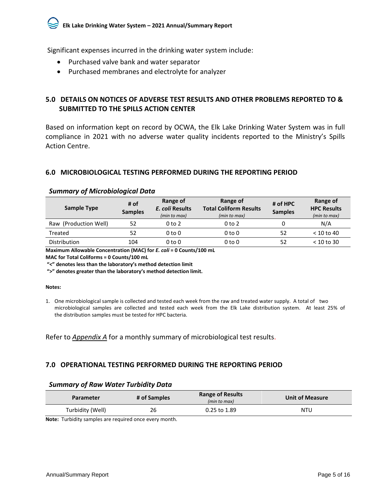Significant expenses incurred in the drinking water system include:

- Purchased valve bank and water separator
- Purchased membranes and electrolyte for analyzer

#### <span id="page-7-0"></span>**5.0 DETAILS ON NOTICES OF ADVERSE TEST RESULTS AND OTHER PROBLEMS REPORTED TO & SUBMITTED TO THE SPILLS ACTION CENTER**

Based on information kept on record by OCWA, the Elk Lake Drinking Water System was in full compliance in 2021 with no adverse water quality incidents reported to the Ministry's Spills Action Centre.

#### <span id="page-7-1"></span>**6.0 MICROBIOLOGICAL TESTING PERFORMED DURING THE REPORTING PERIOD**

| Sample Type           | # of<br><b>Samples</b> | Range of<br>E. coli Results<br>(min to max) | Range of<br><b>Total Coliform Results</b><br>(min to max) | # of HPC<br><b>Samples</b> | Range of<br><b>HPC Results</b><br>(min to max) |
|-----------------------|------------------------|---------------------------------------------|-----------------------------------------------------------|----------------------------|------------------------------------------------|
| Raw (Production Well) | 52                     | $0$ to $2$                                  | $0$ to $2$                                                | 0                          | N/A                                            |
| Treated               | 52                     | $0$ to $0$                                  | 0 to 0                                                    | 52                         | $<$ 10 to 40                                   |
| Distribution          | 104                    | 0 to 0                                      | 0 to 0                                                    | 52                         | $<$ 10 to 30                                   |

#### *Summary of Microbiological Data*

**Maximum Allowable Concentration (MAC) for** *E. coli* **= 0 Counts/100 mL**

**MAC for Total Coliforms = 0 Counts/100 mL**

**"<" denotes less than the laboratory's method detection limit**

**">" denotes greater than the laboratory's method detection limit.**

#### **Notes:**

1. One microbiological sample is collected and tested each week from the raw and treated water supply. A total of two microbiological samples are collected and tested each week from the Elk Lake distribution system. At least 25% of the distribution samples must be tested for HPC bacteria.

Refer to *Appendix A* for a monthly summary of microbiological test results.

#### <span id="page-7-2"></span>**7.0 OPERATIONAL TESTING PERFORMED DURING THE REPORTING PERIOD**

#### *Summary of Raw Water Turbidity Data*

| <b>Parameter</b> | # of Samples | <b>Range of Results</b><br>(min to max) | <b>Unit of Measure</b> |
|------------------|--------------|-----------------------------------------|------------------------|
| Turbidity (Well) | 26           | 0.25 to 1.89                            | NTU                    |
|                  |              |                                         |                        |

**Note:** Turbidity samples are required once every month.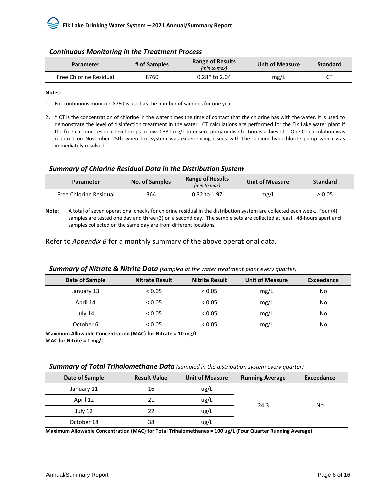| <b>Parameter</b>              | # of Samples | <b>Range of Results</b><br>(min to max) | <b>Unit of Measure</b> | <b>Standard</b> |
|-------------------------------|--------------|-----------------------------------------|------------------------|-----------------|
| <b>Free Chlorine Residual</b> | 8760         | $0.28*$ to 2.04                         | mg/L                   |                 |

#### *Continuous Monitoring in the Treatment Process*

#### **Notes**:

1. For continuous monitors 8760 is used as the number of samples for one year.

2. \* CT is the concentration of chlorine in the water times the time of contact that the chlorine has with the water. It is used to demonstrate the level of disinfection treatment in the water. CT calculations are performed for the Elk Lake water plant if the free chlorine residual level drops below 0.330 mg/L to ensure primary disinfection is achieved. One CT calculation was required on November 25th when the system was experiencing issues with the sodium hypochlorite pump which was immediately resolved.

#### *Summary of Chlorine Residual Data in the Distribution System*

| <b>Parameter</b>       | <b>No. of Samples</b> | <b>Range of Results</b><br>(min to max) | <b>Unit of Measure</b> | <b>Standard</b> |
|------------------------|-----------------------|-----------------------------------------|------------------------|-----------------|
| Free Chlorine Residual | 364                   | $0.32$ to $1.97$                        | mg/L                   | $\geq 0.05$     |

**Note:** A total of seven operational checks for chlorine residual in the distribution system are collected each week. Four (4) samples are tested one day and three (3) on a second day. The sample sets are collected at least 48-hours apart and samples collected on the same day are from different locations.

Refer to *Appendix B* for a monthly summary of the above operational data.

| Date of Sample | <b>Nitrate Result</b> | <b>Nitrite Result</b> | <b>Unit of Measure</b> | Exceedance |
|----------------|-----------------------|-----------------------|------------------------|------------|
| January 13     | < 0.05                | < 0.05                | mg/L                   | No         |
| April 14       | < 0.05                | < 0.05                | mg/L                   | No         |
| July 14        | < 0.05                | < 0.05                | mg/L                   | No         |
| October 6      | < 0.05                | < 0.05                | mg/L                   | No         |

#### *Summary of Nitrate & Nitrite Data (sampled at the water treatment plant every quarter)*

**Maximum Allowable Concentration (MAC) for Nitrate = 10 mg/L MAC for Nitrite = 1 mg/L**

#### *Summary of Total Trihalomethane Data (sampled in the distribution system every quarter)*

| Date of Sample | <b>Result Value</b> | <b>Unit of Measure</b> | <b>Running Average</b> | Exceedance |
|----------------|---------------------|------------------------|------------------------|------------|
| January 11     | 16                  | ug/L                   |                        |            |
| April 12       | 21                  | ug/L                   |                        |            |
| July 12        | 22                  | ug/L                   | 24.3                   | No         |
| October 18     | 38                  | ug/L                   |                        |            |

**Maximum Allowable Concentration (MAC) for Total Trihalomethanes = 100 ug/L (Four Quarter Running Average)**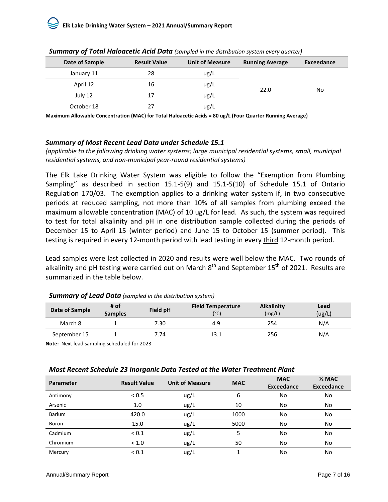| Date of Sample | <b>Result Value</b> | <b>Unit of Measure</b> | <b>Running Average</b> | Exceedance |  |
|----------------|---------------------|------------------------|------------------------|------------|--|
| January 11     | 28                  | ug/L                   |                        |            |  |
| April 12       | 16                  | ug/L                   |                        |            |  |
| July 12        | 17                  | ug/L                   | 22.0                   | No         |  |
| October 18     | 27                  | ug/L                   |                        |            |  |

*Summary of Total Haloacetic Acid Data (sampled in the distribution system every quarter)*

**Maximum Allowable Concentration (MAC) for Total Haloacetic Acids = 80 ug/L (Four Quarter Running Average)**

#### *Summary of Most Recent Lead Data under Schedule 15.1*

*(applicable to the following drinking water systems; large municipal residential systems, small, municipal residential systems, and non-municipal year-round residential systems)* 

The Elk Lake Drinking Water System was eligible to follow the "Exemption from Plumbing Sampling" as described in section 15.1-5(9) and 15.1-5(10) of Schedule 15.1 of Ontario Regulation 170/03. The exemption applies to a drinking water system if, in two consecutive periods at reduced sampling, not more than 10% of all samples from plumbing exceed the maximum allowable concentration (MAC) of 10 ug/L for lead. As such, the system was required to test for total alkalinity and pH in one distribution sample collected during the periods of December 15 to April 15 (winter period) and June 15 to October 15 (summer period). This testing is required in every 12-month period with lead testing in every third 12-month period.

Lead samples were last collected in 2020 and results were well below the MAC. Two rounds of alkalinity and pH testing were carried out on March  $8^{th}$  and September 15<sup>th</sup> of 2021. Results are summarized in the table below.

| Date of Sample | # of<br><b>Samples</b> | Field pH | <b>Field Temperature</b><br>$(^{\circ}C)$ | <b>Alkalinity</b><br>(mg/L) | Lead<br>(ug/L) |
|----------------|------------------------|----------|-------------------------------------------|-----------------------------|----------------|
| March 8        |                        | 7.30     | 4.9                                       | 254                         | N/A            |
| September 15   |                        | 7.74     | 13.1                                      | 256                         | N/A            |

#### *Summary of Lead Data (sampled in the distribution system)*

**Note:** Next lead sampling scheduled for 2023

#### *Most Recent Schedule 23 Inorganic Data Tested at the Water Treatment Plant*

| <b>Parameter</b> | <b>Result Value</b> | <b>Unit of Measure</b> | <b>MAC</b> | <b>MAC</b><br><b>Exceedance</b> | $\frac{1}{2}$ MAC<br><b>Exceedance</b> |
|------------------|---------------------|------------------------|------------|---------------------------------|----------------------------------------|
| Antimony         | < 0.5               | ug/L                   | 6          | No                              | No                                     |
| Arsenic          | 1.0                 | ug/L                   | 10         | No                              | No                                     |
| Barium           | 420.0               | ug/l                   | 1000       | No                              | No                                     |
| Boron            | 15.0                | ug/L                   | 5000       | No                              | No                                     |
| Cadmium          | ${}_{0.1}$          | ug/L                   |            | No                              | No                                     |
| Chromium         | < 1.0               | ug/L                   | 50         | No                              | No                                     |
| Mercury          | ${}_{0.1}$          | ug/L                   |            | No                              | No                                     |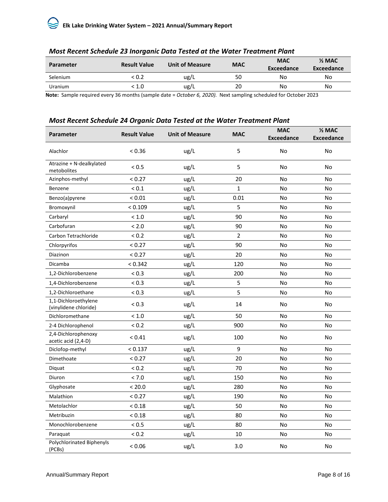### **Elk Lake Drinking Water System – 2021 Annual/Summary Report**

|                  | -                   |                        |            |                          |                                 |
|------------------|---------------------|------------------------|------------|--------------------------|---------------------------------|
| <b>Parameter</b> | <b>Result Value</b> | <b>Unit of Measure</b> | <b>MAC</b> | <b>MAC</b><br>Exceedance | $\frac{1}{2}$ MAC<br>Exceedance |
| Selenium         | < 0.2               | ug/L                   | 50         | No                       | No                              |
| <b>Uranium</b>   | < 1.0               | ug/L                   | 20         | No                       | No                              |

#### *Most Recent Schedule 23 Inorganic Data Tested at the Water Treatment Plant*

**Note:** Sample required every 36 months (sample date = *October 6, 2020).* Next sampling scheduled for October 2023

#### *Most Recent Schedule 24 Organic Data Tested at the Water Treatment Plant*

| Parameter                                     | <b>Result Value</b> | <b>Unit of Measure</b> | <b>MAC</b>     | <b>MAC</b><br><b>Exceedance</b> | $2$ MAC<br><b>Exceedance</b> |
|-----------------------------------------------|---------------------|------------------------|----------------|---------------------------------|------------------------------|
| Alachlor                                      | < 0.36              | ug/L                   | 5              | No                              | No                           |
| Atrazine + N-dealkylated<br>metobolites       | < 0.5               | ug/L                   | 5              | No                              | <b>No</b>                    |
| Azinphos-methyl                               | < 0.27              | ug/L                   | 20             | No                              | No                           |
| Benzene                                       | ${}_{0.1}$          | ug/L                   | 1              | No                              | No                           |
| Benzo(a)pyrene                                | < 0.01              | ug/L                   | 0.01           | No                              | No                           |
| Bromoxynil                                    | < 0.109             | ug/L                   | 5              | No                              | No                           |
| Carbaryl                                      | < 1.0               | ug/L                   | 90             | No                              | No                           |
| Carbofuran                                    | < 2.0               | ug/L                   | 90             | No                              | <b>No</b>                    |
| Carbon Tetrachloride                          | ${}_{0.2}$          | ug/L                   | $\overline{2}$ | No                              | No                           |
| Chlorpyrifos                                  | < 0.27              | ug/L                   | 90             | No                              | No                           |
| Diazinon                                      | < 0.27              | ug/L                   | 20             | No                              | No                           |
| Dicamba                                       | < 0.342             | ug/L                   | 120            | No                              | No                           |
| 1,2-Dichlorobenzene                           | < 0.3               | ug/L                   | 200            | No                              | No                           |
| 1,4-Dichlorobenzene                           | < 0.3               | ug/L                   | 5              | No                              | No                           |
| 1,2-Dichloroethane                            | < 0.3               | ug/L                   | 5              | No                              | No                           |
| 1,1-Dichloroethylene<br>(vinylidene chloride) | < 0.3               | ug/L                   | 14             | No                              | No                           |
| Dichloromethane                               | < 1.0               | ug/L                   | 50             | No                              | <b>No</b>                    |
| 2-4 Dichlorophenol                            | < 0.2               | ug/L                   | 900            | No                              | No                           |
| 2,4-Dichlorophenoxy<br>acetic acid (2,4-D)    | < 0.41              | ug/L                   | 100            | No                              | No                           |
| Diclofop-methyl                               | < 0.137             | ug/L                   | 9              | No                              | No                           |
| Dimethoate                                    | < 0.27              | ug/L                   | 20             | No                              | No                           |
| Diquat                                        | < 0.2               | ug/L                   | 70             | No                              | No                           |
| Diuron                                        | < 7.0               | ug/L                   | 150            | No                              | No                           |
| Glyphosate                                    | < 20.0              | ug/L                   | 280            | No                              | No                           |
| Malathion                                     | < 0.27              | ug/L                   | 190            | No                              | <b>No</b>                    |
| Metolachlor                                   | < 0.18              | ug/L                   | 50             | No                              | No                           |
| Metribuzin                                    | < 0.18              | ug/L                   | 80             | No                              | No                           |
| Monochlorobenzene                             | < 0.5               | ug/L                   | 80             | No                              | <b>No</b>                    |
| Paraquat                                      | ${}_{0.2}$          | ug/L                   | 10             | No                              | No                           |
| Polychlorinated Biphenyls<br>(PCBs)           | < 0.06              | ug/L                   | 3.0            | No                              | No                           |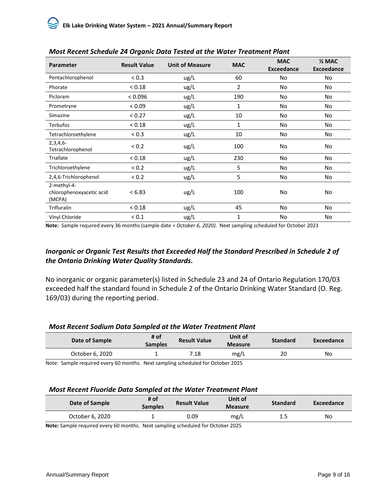| Parameter                                         | <b>Result Value</b> | <b>Unit of Measure</b> | <b>MAC</b> | <b>MAC</b><br><b>Exceedance</b> | $\frac{1}{2}$ MAC<br><b>Exceedance</b> |
|---------------------------------------------------|---------------------|------------------------|------------|---------------------------------|----------------------------------------|
| Pentachlorophenol                                 | < 0.3               | ug/L                   | 60         | No                              | No                                     |
| Phorate                                           | < 0.18              | ug/L                   | 2          | <b>No</b>                       | No                                     |
| Picloram                                          | < 0.096             | ug/L                   | 190        | <b>No</b>                       | No                                     |
| Prometryne                                        | < 0.09              | ug/L                   | 1          | No                              | No                                     |
| Simazine                                          | < 0.27              | ug/L                   | 10         | No                              | No                                     |
| <b>Terbufos</b>                                   | < 0.18              | ug/L                   | 1          | No                              | No                                     |
| Tetrachloroethylene                               | < 0.3               | ug/L                   | 10         | No                              | No                                     |
| $2,3,4,6-$<br>Tetrachlorophenol                   | < 0.2               | ug/L                   | 100        | No                              | No                                     |
| Triallate                                         | < 0.18              | ug/L                   | 230        | <b>No</b>                       | No                                     |
| Trichloroethylene                                 | < 0.2               | ug/L                   | 5          | No                              | No                                     |
| 2,4,6-Trichlorophenol                             | < 0.2               | ug/L                   | 5          | No                              | No                                     |
| 2-methyl-4-<br>chlorophenoxyacetic acid<br>(MCPA) | < 6.83              | ug/L                   | 100        | No                              | No                                     |
| Trifluralin                                       | < 0.18              | ug/L                   | 45         | No                              | No                                     |
| Vinyl Chloride                                    | ${}_{0.1}$          | ug/L                   | 1          | No                              | No                                     |

**Note:** Sample required every 36 months (sample date = *October 6, 2020).* Next sampling scheduled for October 2023

#### *Inorganic or Organic Test Results that Exceeded Half the Standard Prescribed in Schedule 2 of the Ontario Drinking Water Quality Standards***.**

No inorganic or organic parameter(s) listed in Schedule 23 and 24 of Ontario Regulation 170/03 exceeded half the standard found in Schedule 2 of the Ontario Drinking Water Standard (O. Reg. 169/03) during the reporting period.

#### *Most Recent Sodium Data Sampled at the Water Treatment Plant*

| Date of Sample  | # of<br><b>Samples</b> | <b>Result Value</b> | Unit of<br><b>Measure</b> | <b>Standard</b> | Exceedance |
|-----------------|------------------------|---------------------|---------------------------|-----------------|------------|
| October 6, 2020 |                        | 7.18                | mg/L                      | 20              | No         |
| .<br>$\sim$     | $\cdots$               |                     | $\cdots$                  |                 |            |

Note: Sample required every 60 months. Next sampling scheduled for October 2025

#### *Most Recent Fluoride Data Sampled at the Water Treatment Plant*

| Date of Sample  | # of<br><b>Samples</b> | <b>Result Value</b>                                         | Unit of<br><b>Measure</b> | <b>Standard</b> | Exceedance |
|-----------------|------------------------|-------------------------------------------------------------|---------------------------|-----------------|------------|
| October 6, 2020 |                        | 0.09                                                        | mg/L                      | 1.5             | No         |
| .<br>$\sim$     | $\cdots$               | $1 \quad 1 \quad 1 \quad 1 \quad 2 \quad 3 \quad 4 \quad 1$ | $\cdots$                  |                 |            |

**Note:** Sample required every 60 months. Next sampling scheduled for October 2025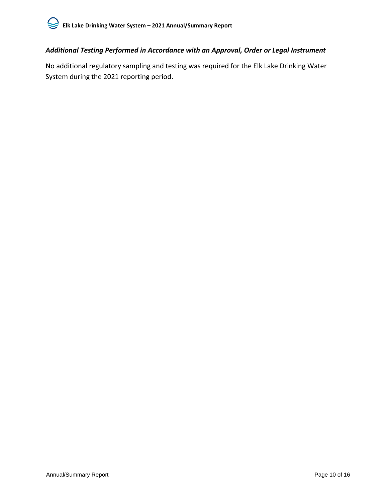#### *Additional Testing Performed in Accordance with an Approval, Order or Legal Instrument*

No additional regulatory sampling and testing was required for the Elk Lake Drinking Water System during the 2021 reporting period.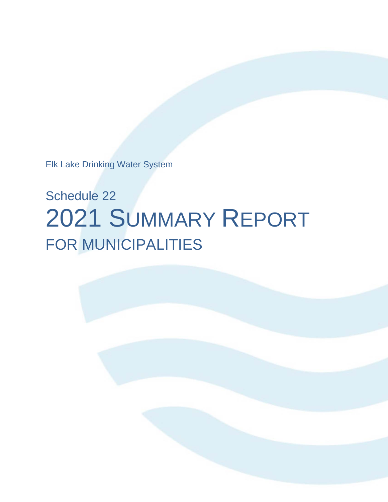Elk Lake Drinking Water System

# Schedule 22 2021 SUMMARY REPORT FOR MUNICIPALITIES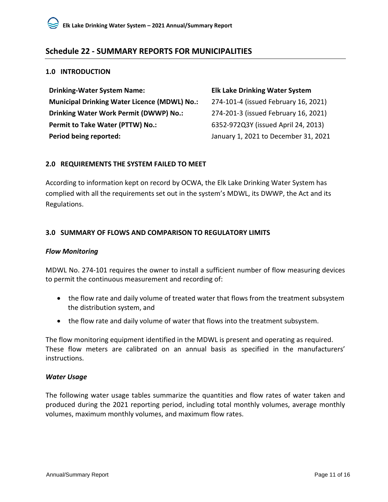#### <span id="page-14-0"></span>**Schedule 22 - SUMMARY REPORTS FOR MUNICIPALITIES**

#### <span id="page-14-1"></span>**1.0 INTRODUCTION**

| <b>Drinking-Water System Name:</b>                  | <b>Elk Lake Drinking Water System</b> |
|-----------------------------------------------------|---------------------------------------|
| <b>Municipal Drinking Water Licence (MDWL) No.:</b> | 274-101-4 (issued February 16, 2021)  |
| Drinking Water Work Permit (DWWP) No.:              | 274-201-3 (issued February 16, 2021)  |
| Permit to Take Water (PTTW) No.:                    | 6352-972Q3Y (issued April 24, 2013)   |
| Period being reported:                              | January 1, 2021 to December 31, 2021  |

#### <span id="page-14-2"></span>**2.0 REQUIREMENTS THE SYSTEM FAILED TO MEET**

According to information kept on record by OCWA, the Elk Lake Drinking Water System has complied with all the requirements set out in the system's MDWL, its DWWP, the Act and its Regulations.

#### <span id="page-14-3"></span>**3.0 SUMMARY OF FLOWS AND COMPARISON TO REGULATORY LIMITS**

#### *Flow Monitoring*

MDWL No. 274-101 requires the owner to install a sufficient number of flow measuring devices to permit the continuous measurement and recording of:

- the flow rate and daily volume of treated water that flows from the treatment subsystem the distribution system, and
- the flow rate and daily volume of water that flows into the treatment subsystem.

The flow monitoring equipment identified in the MDWL is present and operating as required. These flow meters are calibrated on an annual basis as specified in the manufacturers' instructions.

#### *Water Usage*

The following water usage tables summarize the quantities and flow rates of water taken and produced during the 2021 reporting period, including total monthly volumes, average monthly volumes, maximum monthly volumes, and maximum flow rates.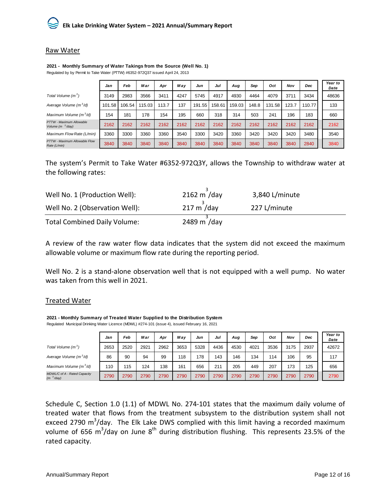#### Raw Water

|                                               | Jan    | Feb    | Mar    | Apr   | Mav  | Jun    | Jul    | Aug    | Sep   | Oct    | Nov   | Dec    | Year to<br>Date |
|-----------------------------------------------|--------|--------|--------|-------|------|--------|--------|--------|-------|--------|-------|--------|-----------------|
| Total Volume $(m^3)$                          | 3149   | 2983   | 3566   | 3411  | 4247 | 5745   | 4917   | 4930   | 4464  | 4079   | 3711  | 3434   | 48636           |
| Average Volume $(m^3/d)$                      | 101.58 | 106.54 | 115.03 | 113.7 | 137  | 191.55 | 158.61 | 159.03 | 148.8 | 131.58 | 123.7 | 110.77 | 133             |
| Maximum Volume $(m^3/d)$                      | 154    | 181    | 178    | 154   | 195  | 660    | 318    | 314    | 503   | 241    | 196   | 183    | 660             |
| PTTW - Maximum Allowable<br>Volume $(m3/day)$ | 2162   | 2162   | 2162   | 2162  | 2162 | 2162   | 2162   | 2162   | 2162  | 2162   | 2162  | 2162   | 2162            |
| Maximum Flow Rate (L/min)                     | 3360   | 3300   | 3360   | 3360  | 3540 | 3300   | 3420   | 3360   | 3420  | 3420   | 3420  | 3480   | 3540            |
| PTTW - Maximum Allowable Flow<br>Rate (L/min) | 3840   | 3840   | 3840   | 3840  | 3840 | 3840   | 3840   | 3840   | 3840  | 3840   | 3840  | 2840   | 3840            |

**2021 - Monthly Summary of Water Takings from the Source (Well No. 1)** Regulated by by Permit to Take Water (PTTW) #6352-972Q37 issued April 24, 2013

The system's Permit to Take Water #6352-972Q3Y, allows the Township to withdraw water at the following rates:

| Well No. 1 (Production Well):       | $2162 \text{ m}$ /day  | 3,840 L/minute |
|-------------------------------------|------------------------|----------------|
| Well No. 2 (Observation Well):      | $217 \text{ m}^3$ /day | 227 L/minute   |
| <b>Total Combined Daily Volume:</b> | 2489 m /day            |                |

A review of the raw water flow data indicates that the system did not exceed the maximum allowable volume or maximum flow rate during the reporting period.

Well No. 2 is a stand-alone observation well that is not equipped with a well pump. No water was taken from this well in 2021.

#### Treated Water

**2021 - Monthly Summary of Treated Water Supplied to the Distribution System** Regulated Municipal Drinking Water Licence (MDWL) #274-101 (issue 4), issued February 16, 2021

|                                                       | Jan  | Feb  | Mar  | Apr  | Mav  | Jun  | Jul  | Aug  | Sep  | Oct  | Nov  | Dec  | Year to<br>Date |
|-------------------------------------------------------|------|------|------|------|------|------|------|------|------|------|------|------|-----------------|
| Total Volume (m <sup>3</sup> )                        | 2653 | 2520 | 2921 | 2962 | 3653 | 5328 | 4436 | 4530 | 4021 | 3536 | 3175 | 2937 | 42672           |
| Average Volume $(m^3/d)$                              | 86   | 90   | 94   | 99   | 118  | 178  | 143  | 146  | 134  | 114  | 106  | 95   | 117             |
| Maximum Volume (m <sup>3</sup> /d)                    | 110  | 115  | 124  | 138  | 161  | 656  | 211  | 205  | 449  | 207  | 173  | 125  | 656             |
| MDWL/C of A - Rated Capacity<br>(m <sup>3</sup> /day) | 2790 | 2790 | 2790 | 2790 | 2790 | 2790 | 2790 | 2790 | 2790 | 2790 | 2790 | 2790 | 2790            |

Schedule C, Section 1.0 (1.1) of MDWL No. 274-101 states that the maximum daily volume of treated water that flows from the treatment subsystem to the distribution system shall not exceed 2790  $m^3$ /day. The Elk Lake DWS complied with this limit having a recorded maximum volume of 656 m<sup>3</sup>/day on June 8<sup>th</sup> during distribution flushing. This represents 23.5% of the rated capacity.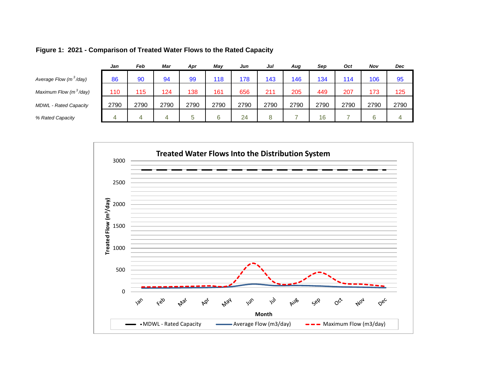|                                    | Jan  | Feb  | Mar  | Apr  | Mav  | Jun  | Jul  | Aug  | Sep  | Oct  | Nov  | Dec  |  |
|------------------------------------|------|------|------|------|------|------|------|------|------|------|------|------|--|
| Average Flow (m <sup>3</sup> /day) | 86   | 90   | 94   | 99   | 118  | 178  | 143  | 146  | 134  | 114  | 106  | 95   |  |
| Maximum Flow (m <sup>3</sup> /day) | 110  | 115  | 124  | 138  | 161  | 656  | 211  | 205  | 449  | 207  | 173  | 125  |  |
| <b>MDWL - Rated Capacity</b>       | 2790 | 2790 | 2790 | 2790 | 2790 | 2790 | 2790 | 2790 | 2790 | 2790 | 2790 | 2790 |  |
| % Rated Capacity                   |      | 4    |      |      | 6    | 24   | 8    |      | 16   |      | 6    |      |  |
|                                    |      |      |      |      |      |      |      |      |      |      |      |      |  |

#### **Figure 1: 2021 - Comparison of Treated Water Flows to the Rated Capacity**

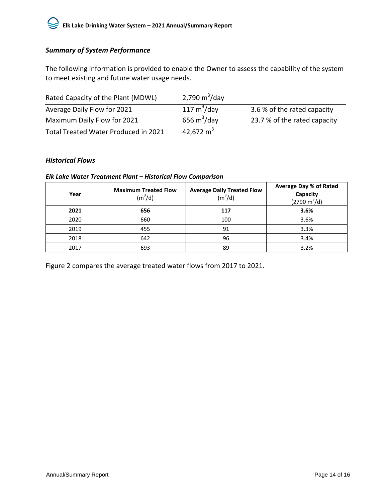#### *Summary of System Performance*

The following information is provided to enable the Owner to assess the capability of the system to meet existing and future water usage needs.

| Rated Capacity of the Plant (MDWL)   | 2,790 $m^3$ /day |                              |
|--------------------------------------|------------------|------------------------------|
| Average Daily Flow for 2021          | 117 $m^3$ /day   | 3.6 % of the rated capacity  |
| Maximum Daily Flow for 2021          | 656 $m^3$ /day   | 23.7 % of the rated capacity |
| Total Treated Water Produced in 2021 | 42,672 $m3$      |                              |

#### *Historical Flows*

#### *Elk Lake Water Treatment Plant – Historical Flow Comparison*

| Year | <b>Maximum Treated Flow</b><br>(m <sup>3</sup> /d) | <b>Average Daily Treated Flow</b><br>(m <sup>3</sup> /d) | <b>Average Day % of Rated</b><br>Capacity<br>$(2790 \text{ m}^3/\text{d})$ |
|------|----------------------------------------------------|----------------------------------------------------------|----------------------------------------------------------------------------|
| 2021 | 656                                                | 117                                                      | 3.6%                                                                       |
| 2020 | 660                                                | 100                                                      | 3.6%                                                                       |
| 2019 | 455                                                | 91                                                       | 3.3%                                                                       |
| 2018 | 642                                                | 96                                                       | 3.4%                                                                       |
| 2017 | 693                                                | 89                                                       | 3.2%                                                                       |

Figure 2 compares the average treated water flows from 2017 to 2021.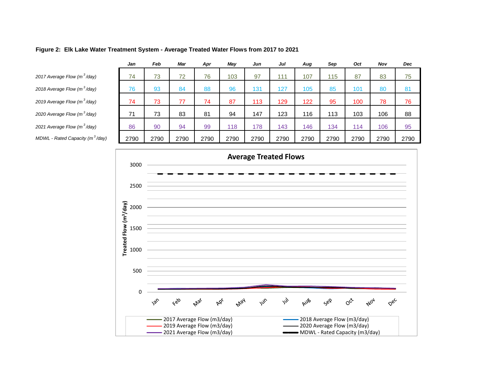|                                             | Jan  | Feb  | Mar  | Apr  | Mav  | Jun  | Jul  | Aug  | Sep  | Oct  | Nov  | <b>Dec</b> |  |
|---------------------------------------------|------|------|------|------|------|------|------|------|------|------|------|------------|--|
| 2017 Average Flow (m <sup>3</sup> /day)     | 74   | 73   | 72   | 76   | 103  | 97   | 111  | 107  | 115  | 87   | 83   | 75         |  |
| 2018 Average Flow (m <sup>3</sup> /day)     | 76   | 93   | 84   | 88   | 96   | 131  | 127  | 105  | 85   | 101  | 80   | 81         |  |
| 2019 Average Flow (m <sup>3</sup> /day)     | 74   | 73   | 77   | 74   | 87   | 113  | 129  | 122  | 95   | 100  | 78   | 76         |  |
| 2020 Average Flow (m <sup>3</sup> /day)     | 71   | 73   | 83   | 81   | 94   | 147  | 123  | 116  | 113  | 103  | 106  | 88         |  |
| 2021 Average Flow (m <sup>3</sup> /day)     | 86   | 90   | 94   | 99   | 118  | 178  | 143  | 146  | 134  | 114  | 106  | 95         |  |
| MDWL - Rated Capacity (m <sup>3</sup> /day) | 2790 | 2790 | 2790 | 2790 | 2790 | 2790 | 2790 | 2790 | 2790 | 2790 | 2790 | 2790       |  |
|                                             |      |      |      |      |      |      |      |      |      |      |      |            |  |

#### **Figure 2: Elk Lake Water Treatment System - Average Treated Water Flows from 2017 to 2021**

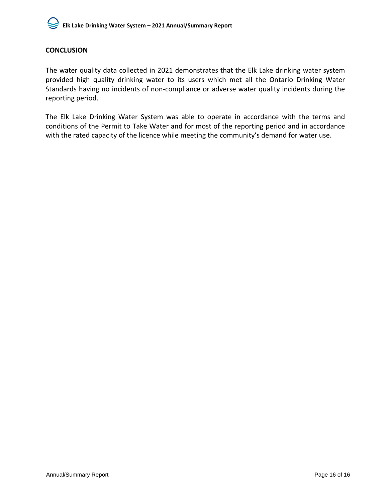

#### <span id="page-19-0"></span>**CONCLUSION**

The water quality data collected in 2021 demonstrates that the Elk Lake drinking water system provided high quality drinking water to its users which met all the Ontario Drinking Water Standards having no incidents of non-compliance or adverse water quality incidents during the reporting period.

The Elk Lake Drinking Water System was able to operate in accordance with the terms and conditions of the Permit to Take Water and for most of the reporting period and in accordance with the rated capacity of the licence while meeting the community's demand for water use.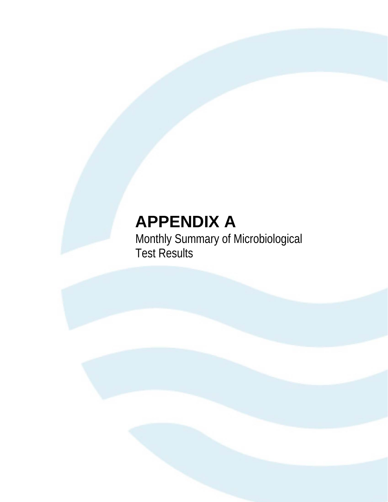## **APPENDIX A**

Monthly Summary of Microbiological Test Results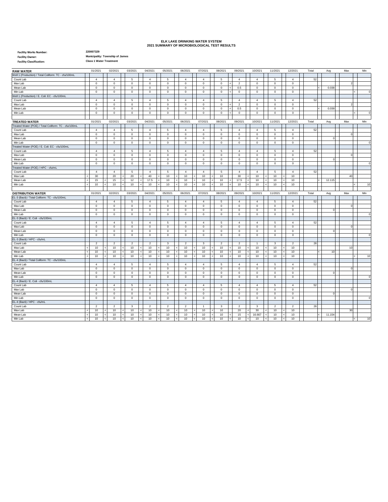#### **ELK LAKE DRINKING WATER SYSTEM 2021 SUMMARY OF MICROBIOLOGICAL TEST RESULTS**

| <b>Facility Works Number:</b>   |  |
|---------------------------------|--|
| <b>Facility Owner:</b>          |  |
| <b>Facility Classification:</b> |  |

**Class 1 Water Treatment Municipality: Township of James**

**220007329**

| <b>RAW WATER</b>                                     |                          | 01/2021        |        | 02/2021        | 03/2021                       | 04/2021        | 05/2021        |            | 06/2021          | 07/2021        | 08/2021        |   | 09/2021        | 10/2021        | 11/2021        | 12/2021        | Total | Avg         | Max            | Min  |
|------------------------------------------------------|--------------------------|----------------|--------|----------------|-------------------------------|----------------|----------------|------------|------------------|----------------|----------------|---|----------------|----------------|----------------|----------------|-------|-------------|----------------|------|
| Well 1 (Production) / Total Coliform: TC - cfu/100mL |                          |                |        |                |                               |                |                |            |                  |                |                |   |                |                |                |                |       |             |                |      |
| Count Lab                                            |                          | 4              |        | $\overline{4}$ | 5                             | $\overline{4}$ | 5              |            | $\overline{4}$   | $\overline{4}$ | 5              |   | $\overline{4}$ | $\overline{4}$ | 5              | $\overline{4}$ | 52    |             |                |      |
| Max Lab                                              |                          | $\mathbf 0$    |        | $\mathbf 0$    | $\mathbf 0$                   | $\mathsf 0$    | $\mathbf 0$    |            | $\mathbf 0$      | $\mathbf 0$    | 0              |   | $\overline{2}$ | 0              | $\,$ 0         | $\,0\,$        |       |             | $\overline{2}$ |      |
| Mean Lab                                             |                          | $\mathbf 0$    |        | $\mathbf 0$    | $\mathbf 0$                   | 0              | $\mathbf 0$    |            | $\mathbf 0$      | $\mathsf 0$    | $\mathbf 0$    | ۷ | 0.5            | 0              | $\overline{0}$ | $\mathbf 0$    |       | 0.038       |                |      |
| Min Lab                                              |                          | $\mathbf 0$    |        | $\mathbf 0$    | $\mathbf 0$                   | $\mathsf 0$    | $\mathbf 0$    |            | $\mathsf 0$      | $\mathbf 0$    | 0              |   | $\mathbf 0$    | 0              | $\pmb{0}$      | $\,0\,$        |       |             |                |      |
| Well 1 (Production) / E. Coli: EC - cfu/100mL        |                          |                |        |                |                               |                |                |            |                  |                |                |   |                |                |                |                |       |             |                |      |
| Count Lab                                            |                          | $\overline{4}$ |        | $\overline{4}$ | 5                             | $\overline{4}$ | 5              |            | $\overline{4}$   | $\overline{4}$ | 5              |   | $\overline{4}$ | $\overline{4}$ | 5              | $\overline{4}$ | 52    |             |                |      |
| Max Lab                                              |                          | $\mathbf 0$    |        | 0              | $\mathsf 0$                   | $\mathsf 0$    | $\mathbf 0$    |            | 0                | $\mathsf 0$    | $\mathsf 0$    |   | $\overline{2}$ | $\mathsf 0$    | $\mathsf 0$    | $\mathsf 0$    |       |             | $\overline{2}$ |      |
| Mean Lab                                             |                          | $\mathbf 0$    |        | $\mathbf 0$    | $\mathbf 0$                   | $\mathsf 0$    | $\mathbf 0$    |            | $\mathbb O$      | $\mathsf 0$    | $\mathsf 0$    |   | 0.5            | $\mathbf 0$    | $\mathbf 0$    | $\,0\,$        |       | 0.038       |                |      |
| Min Lab                                              |                          | $\mathbf 0$    |        | $\mathbf 0$    | $\mathbf 0$                   | $\mathbf 0$    | $\mathbf 0$    |            | $\mathbf 0$      | $\mathsf 0$    | 0              | z | $\mathbf 0$    | 0              | $\mathsf 0$    | $\mathsf 0$    |       |             |                |      |
|                                                      |                          |                |        |                |                               |                |                |            |                  |                |                |   |                |                |                |                |       |             |                |      |
| <b>TREATED WATER</b>                                 |                          | 01/2021        |        | 02/2021        | 03/2021                       | 04/2021        | 05/2021        |            | 06/2021          | 07/2021        | 08/2021        |   | 09/2021        | 10/2021        | 11/2021        | 12/2021        | Total | Avg         | Max            | Min  |
| Treated Water (POE) / Total Coliform: TC - cfu/100mL |                          |                |        |                |                               |                |                |            |                  |                |                |   |                |                |                |                |       |             |                |      |
| Count Lab                                            |                          | $\overline{4}$ |        | $\overline{4}$ |                               | $\overline{4}$ | 5              |            | $\overline{4}$   | $\overline{4}$ | 5              |   | $\overline{4}$ | $\overline{4}$ | $\sqrt{5}$     | $\overline{4}$ | 52    |             |                |      |
|                                                      |                          | $\mathbf 0$    |        | $\mathbf 0$    | $\overline{5}$<br>$\mathbf 0$ | $\mathbf{0}$   | $\mathbf 0$    |            | $\mathbf 0$      | $\mathbf 0$    | $\mathsf 0$    |   | $\mathbf 0$    | $\mathbf 0$    | $\mathbf 0$    | $\mathbf 0$    |       |             | $\circ$        |      |
| Max Lab<br>Mean Lab                                  |                          | $\mathbf 0$    |        | $\mathbf 0$    | $\mathbf 0$                   | $\mathbf 0$    | $\mathbf 0$    |            | $\mathbf 0$      | $\mathbf 0$    | $\mathbf 0$    |   | $\mathbf{0}$   | $\mathbf 0$    | $\mathbf 0$    | $\mathbf{0}$   |       | $\Omega$    |                |      |
| Min Lab                                              |                          | $\mathbf 0$    |        | $\mathbf 0$    | $\mathbf 0$                   |                | $\mathbf 0$    |            | $\mathbf 0$      | $\mathsf{o}\,$ |                |   | $\mathbf{0}$   | $\mathbf 0$    | $\mathbf 0$    | $\mathsf 0$    |       |             |                |      |
| Treated Water (POE) / E. Coli: EC - cfu/100mL        |                          |                |        |                |                               | $\mathsf 0$    |                |            |                  |                | $\mathsf 0$    |   |                |                |                |                |       |             |                |      |
|                                                      |                          |                |        |                |                               |                |                |            |                  |                |                |   |                |                |                |                |       |             |                |      |
| Count Lab                                            |                          | $\overline{4}$ |        | $\overline{4}$ | 5                             | $\overline{4}$ | 5              |            | $\overline{4}$   | $\overline{4}$ | 5              |   | $\overline{4}$ | $\overline{4}$ | 5              | $\overline{4}$ | 52    |             |                |      |
| Max Lab                                              |                          | $\mathbf 0$    |        | $\mathbf 0$    | $\mathsf 0$                   | $\mathsf 0$    | $\mathbf 0$    |            | $\mathbf 0$      | $\mathsf 0$    | $\mathsf 0$    |   | $\mathbf 0$    | 0              | $\overline{0}$ | $\mathsf 0$    |       |             | $\circ$        |      |
| Mean Lab                                             |                          | $\mathbf 0$    |        | $\mathbf 0$    | $\mathsf 0$                   | $\mathbf 0$    | $\mathbf 0$    |            | $\mathbf 0$      | $\mathbf 0$    | $\mathsf 0$    |   | $\mathbf 0$    | $\mathbf 0$    | $\mathbf 0$    | $\mathbf 0$    |       | $\Omega$    |                |      |
| Min Lab                                              |                          | $\mathbf 0$    |        | 0              | $\mathbf 0$                   | $\mathbf 0$    | $\mathbf 0$    |            | $\mathsf 0$      | $\mathsf 0$    | $\mathbb O$    |   | $\mathbf 0$    | $\mathbf 0$    | $\mathbf 0$    | $\mathbf 0$    |       |             |                |      |
| Treated Water (POE) / HPC - cfu/mL                   |                          |                |        |                |                               |                |                |            |                  |                |                |   |                |                |                |                |       |             |                |      |
| Count Lab                                            |                          | $\overline{4}$ |        | $\overline{4}$ | 5                             | $\overline{4}$ | 5              |            | $\overline{4}$   | $\overline{4}$ | $\mathbf 5$    |   | $\overline{4}$ | $\overline{4}$ | $\sqrt{5}$     | $\overline{4}$ | 52    |             |                |      |
| Max Lab                                              |                          | 30             |        | 20             | 20                            | 40             | 10             |            | 10               | 10             | 10             |   | 30             | 10             | 10             | 10             |       |             | 40             |      |
| Mean Lab                                             |                          | 15             |        | 15             | 12                            | 17.5           | 10             |            | 10<br>$\epsilon$ | 10             | 10             |   | 17.5           | 10             | 10             | 10             |       | 12.115      |                |      |
| Min Lab                                              | $\overline{\phantom{a}}$ | 10             | è      | 10             | 10                            | 10             | 10             | $\epsilon$ | 10<br>$\prec$    | 10             | 10             |   | 10<br>ć        | 10             | 10             | 10             |       |             |                | 10   |
|                                                      |                          |                |        |                |                               |                |                |            |                  |                |                |   |                |                |                |                |       |             |                |      |
| <b>DISTRIBUTION WATER</b>                            |                          | 01/2021        |        | 02/2021        | 03/2021                       | 04/2021        | 05/2021        |            | 06/2021          | 07/2021        | 08/2021        |   | 09/2021        | 10/2021        | 11/2021        | 12/2021        | Total | Avg         | Max            | Min  |
| EL-3 (Bacti) / Total Coliform: TC - cfu/100mL        |                          |                |        |                |                               |                |                |            |                  |                |                |   |                |                |                |                |       |             |                |      |
| Count Lab                                            |                          | $\overline{4}$ |        | $\overline{4}$ | 5                             | $\overline{4}$ | 5              |            | $\overline{4}$   | $\overline{4}$ | 5              |   | $\overline{4}$ | $\overline{4}$ | 5              | $\overline{4}$ | 52    |             |                |      |
| Max Lab                                              |                          | $\mathbf 0$    |        | $\mathbf 0$    | $\mathbf 0$                   | $\mathbf 0$    | $\mathbf 0$    |            | $\circ$          | $\mathbb O$    | $\mathbf 0$    |   | $\mathbf 0$    | $\mathbf 0$    | $\overline{0}$ | $\overline{0}$ |       |             | $\circ$        |      |
| Mean Lab                                             |                          | $\mathbf 0$    |        | $\mathbf 0$    | $\mathbf 0$                   | $\mathbf{0}$   | $\mathbf 0$    |            | $\mathbf 0$      | $\mathbf 0$    | $\mathbf 0$    |   | $\mathbf{0}$   | $\mathbf 0$    | $\mathbf 0$    | $\overline{0}$ |       | $\Omega$    |                |      |
| Min Lab                                              |                          | $\mathbf 0$    |        | $\Omega$       | $\mathbf 0$                   | $\mathbf 0$    | $\mathbf 0$    |            | $\circ$          | $\mathbf 0$    | $\mathbf 0$    |   | $\mathbf 0$    | $\mathbf 0$    | $\overline{0}$ | $\overline{0}$ |       |             |                |      |
| EL-3 (Bacti) / E. Coli - cfu/100mL                   |                          |                |        |                |                               |                |                |            |                  |                |                |   |                |                |                |                |       |             |                |      |
| Count Lab                                            |                          | $\overline{4}$ |        | $\overline{4}$ | 5                             | $\overline{4}$ | 5              |            | $\overline{4}$   | $\overline{4}$ | 5              |   | $\overline{4}$ | $\overline{4}$ | $\overline{5}$ | $\overline{4}$ | 52    |             |                |      |
| Max Lab                                              |                          | $\mathbf 0$    |        | $\mathbf 0$    | $\mathbf 0$                   | $\mathsf 0$    | $\mathbf 0$    |            | $\mathbf 0$      | $\mathsf 0$    | $\mathsf 0$    |   | $\mathbf 0$    | 0              | $\,0\,$        | $\mathsf 0$    |       |             | $\circ$        |      |
| Mean Lab                                             |                          | $\mathbf 0$    |        | $\mathsf 0$    | $\mathbf 0$                   | $\mathsf 0$    | $\mathbf 0$    |            | $\mathbf 0$      | $\,0\,$        | $\mathsf 0$    |   | $\mathbf 0$    | 0              | $\,0\,$        | $\,0\,$        |       | $\mathbf 0$ |                |      |
| Min Lab                                              |                          | $\mathbf 0$    |        | $\mathbf 0$    | $\mathbf 0$                   | $\mathbf 0$    | $\mathbf 0$    |            | $\mathsf 0$      | $\mathsf 0$    | $\mathbf 0$    |   | $\mathbf 0$    | $\mathbf 0$    | $\overline{0}$ | $\mathbf 0$    |       |             |                |      |
| EL-3 (Bacti) / HPC - cfu/mL                          |                          |                |        |                |                               |                |                |            |                  |                |                |   |                |                |                |                |       |             |                |      |
| Count Lab                                            |                          | $\overline{2}$ |        | $\overline{2}$ | $\overline{2}$                | $\overline{2}$ | 3              |            | $\overline{2}$   | 3              | $\overline{2}$ |   | $\overline{2}$ | $\mathbf{1}$   | 3              | $\overline{2}$ | 26    |             |                |      |
| Max Lab                                              |                          | 10             |        | 10             | 10                            | 10             | $10$           |            | 10<br>≺          | 10             | 10             |   | 10             | $10$           | 10             | $10$           |       |             | 10             |      |
| Mean Lab                                             |                          | 10             |        | 10             | 10                            | 10             | 10             |            | 10               | 10             | $10$           |   | 10             | 10             | 10             | $10$           |       | 10          |                |      |
| Min Lab                                              |                          | 10             |        | 10             | 10                            | 10             | 10             |            | 10<br>ć          | 10             | 10             | z | 10             | 10             | 10             | 10             |       |             |                | 10   |
| EL-4 (Bacti) / Total Coliform: TC - cfu/100mL        |                          |                |        |                |                               |                |                |            |                  |                |                |   |                |                |                |                |       |             |                |      |
| Count Lab                                            |                          | $\overline{4}$ |        | $\overline{4}$ | 5                             | $\overline{4}$ | 5              |            | $\overline{4}$   | $\overline{4}$ | 5              |   | $\overline{4}$ | $\overline{4}$ | $\overline{5}$ | $\overline{4}$ | 52    |             |                |      |
| Max Lab                                              |                          | $\mathbb O$    |        | $\mathbf 0$    | $\mathbf 0$                   | $\mathsf 0$    | $\mathbf 0$    |            | $\mathbf 0$      | $\mathbf 0$    | $\mathsf 0$    |   | $\mathbf 0$    | 0              | $\mathbf 0$    | $\,0\,$        |       |             | $\circ$        |      |
| Mean Lab                                             |                          | $\mathbf 0$    |        | 0              | $\mathbf 0$                   | $\mathsf 0$    | $\mathbf 0$    |            | $\mathbf 0$      | $\,0\,$        | $\mathsf 0$    |   | $\mathbf 0$    | 0              | $\,0\,$        | $\,0\,$        |       | $\mathbf 0$ |                |      |
| Min Lab                                              |                          | $\mathbf 0$    |        | $\mathbf 0$    | $\mathsf 0$                   | $\mathbf 0$    | $\mathbf 0$    |            | $\mathbf 0$      | $\mathsf 0$    | $\mathsf 0$    |   | $\mathbf 0$    | $\circ$        | $\,0\,$        | $\,0\,$        |       |             |                |      |
| EL-4 (Bacti) / E. Coli - cfu/100mL                   |                          |                |        |                |                               |                |                |            |                  |                |                |   |                |                |                |                |       |             |                |      |
| Count Lab                                            |                          | $\overline{4}$ |        | $\overline{4}$ | 5                             | $\overline{4}$ | 5              |            | $\overline{4}$   | $\overline{4}$ | 5              |   | $\overline{4}$ | $\overline{4}$ | 5              | $\overline{4}$ | 52    |             |                |      |
| Max Lab                                              |                          | $\mathbf 0$    |        | $\mathbf 0$    | $\mathbf 0$                   | $\mathsf 0$    | $\mathbf 0$    |            | $\mathbb O$      | $\mathbf 0$    | $\mathsf 0$    |   | $\mathbf{0}$   | 0              | $\pmb{0}$      | $\,0\,$        |       |             | $\circ$        |      |
| Mean Lab                                             |                          | $\mathbf 0$    |        | 0              | $\mathbf 0$                   | $\mathsf 0$    | $\mathbf 0$    |            | 0                | $\mathbf 0$    | $\,0\,$        |   | $\mathbf 0$    | $\mathsf 0$    | $\,$ 0         | $\,0\,$        |       | $\Omega$    |                |      |
| Min Lab                                              |                          | $\mathbf 0$    |        | $\mathbf 0$    | $\mathbf 0$                   | $\mathsf 0$    | $\mathbf 0$    |            | $\mathbf 0$      | $\mathbf 0$    | $\mathbf 0$    |   | $\mathbf{0}$   | $\mathbf 0$    | $\overline{0}$ | $\mathbf 0$    |       |             |                |      |
| EL-4 (Bacti) / HPC - cfu/mL                          |                          |                |        |                |                               |                |                |            |                  |                |                |   |                |                |                |                |       |             |                |      |
| Count Lab                                            |                          | $\overline{2}$ |        | $\overline{2}$ | 3                             | $\overline{2}$ | $\overline{2}$ |            | $\overline{2}$   | $\overline{1}$ | 3              |   | $\overline{2}$ | 3              | $\overline{2}$ | $\overline{2}$ | 26    |             |                |      |
| Max Lab                                              |                          | 10             |        | 10             | 10                            | 10             | 10             |            | 10               | 10             | 10             |   | 20             | 30             | 10             | 10             |       |             | 30             |      |
| Mean Lab                                             | $\epsilon$               | 10             |        | 10             | 10                            | 10             | 10<br>k        |            | 10<br>k.         | 10             | 10             | z | 15             | 16.667         | 10             | 10             |       | 11.154      |                |      |
| Min Lab                                              | $\overline{\phantom{a}}$ | 10             | $\leq$ | 10             | 10                            | 10             | 10             |            | 10<br>$\prec$    | 10             | 10             | k | 10<br>k        | 10             | 10             | 10             |       |             | k              | $10$ |
|                                                      |                          |                |        |                |                               |                |                |            |                  |                |                |   |                |                |                |                |       |             |                |      |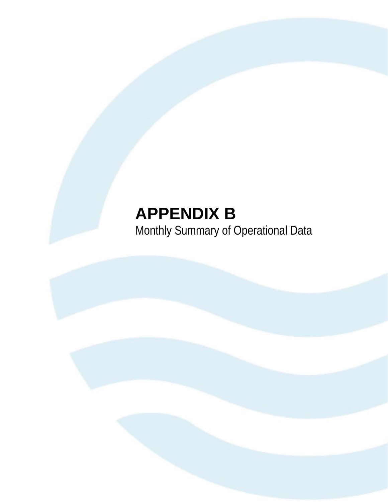### **APPENDIX B** Monthly Summary of Operational Data